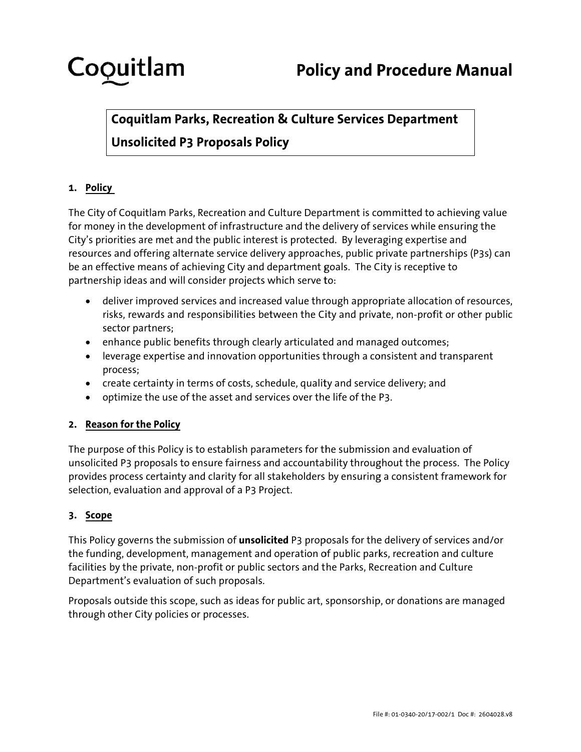# Coquitlam

## **Coquitlam Parks, Recreation & Culture Services Department Unsolicited P3 Proposals Policy**

### 1. Policy

The City of Coquitlam Parks, Recreation and Culture Department is committed to achieving value for money in the development of infrastructure and the delivery of services while ensuring the City's priorities are met and the public interest is protected. By leveraging expertise and resources and offering alternate service delivery approaches, public private partnerships (P3s) can be an effective means of achieving City and department goals. The City is receptive to partnership ideas and will consider projects which serve to:

- deliver improved services and increased value through appropriate allocation of resources, risks, rewards and responsibilities between the City and private, non-profit or other public sector partners;
- enhance public benefits through clearly articulated and managed outcomes;
- leverage expertise and innovation opportunities through a consistent and transparent process;
- create certainty in terms of costs, schedule, quality and service delivery; and
- optimize the use of the asset and services over the life of the P3.

### 2. Reason for the Policy

The purpose of this Policy is to establish parameters for the submission and evaluation of unsolicited P3 proposals to ensure fairness and accountability throughout the process. The Policy provides process certainty and clarity for all stakeholders by ensuring a consistent framework for selection, evaluation and approval of a P3 Project.

### 3. Scope

This Policy governs the submission of unsolicited P3 proposals for the delivery of services and/or the funding, development, management and operation of public parks, recreation and culture facilities by the private, non-profit or public sectors and the Parks, Recreation and Culture Department's evaluation of such proposals.

Proposals outside this scope, such as ideas for public art, sponsorship, or donations are managed through other City policies or processes.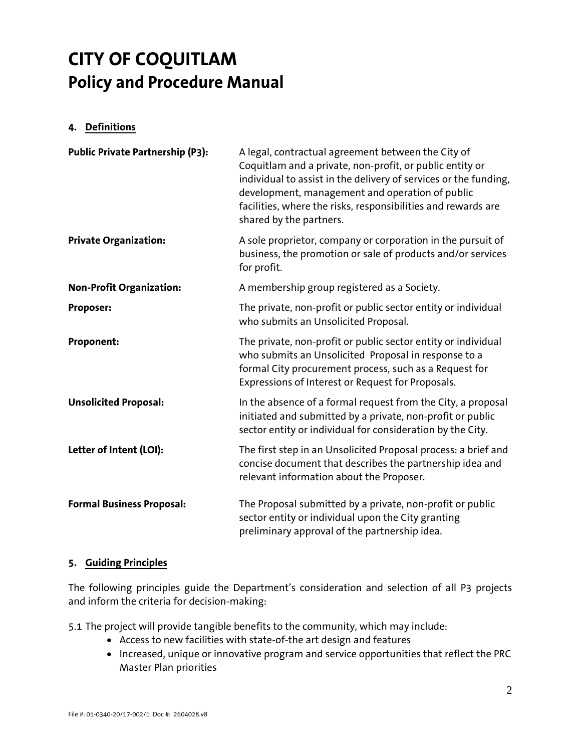#### **4. Definitions**

| <b>Public Private Partnership (P3):</b> | A legal, contractual agreement between the City of<br>Coquitlam and a private, non-profit, or public entity or<br>individual to assist in the delivery of services or the funding,<br>development, management and operation of public<br>facilities, where the risks, responsibilities and rewards are<br>shared by the partners. |
|-----------------------------------------|-----------------------------------------------------------------------------------------------------------------------------------------------------------------------------------------------------------------------------------------------------------------------------------------------------------------------------------|
| <b>Private Organization:</b>            | A sole proprietor, company or corporation in the pursuit of<br>business, the promotion or sale of products and/or services<br>for profit.                                                                                                                                                                                         |
| <b>Non-Profit Organization:</b>         | A membership group registered as a Society.                                                                                                                                                                                                                                                                                       |
| Proposer:                               | The private, non-profit or public sector entity or individual<br>who submits an Unsolicited Proposal.                                                                                                                                                                                                                             |
| Proponent:                              | The private, non-profit or public sector entity or individual<br>who submits an Unsolicited Proposal in response to a<br>formal City procurement process, such as a Request for<br>Expressions of Interest or Request for Proposals.                                                                                              |
| <b>Unsolicited Proposal:</b>            | In the absence of a formal request from the City, a proposal<br>initiated and submitted by a private, non-profit or public<br>sector entity or individual for consideration by the City.                                                                                                                                          |
| Letter of Intent (LOI):                 | The first step in an Unsolicited Proposal process: a brief and<br>concise document that describes the partnership idea and<br>relevant information about the Proposer.                                                                                                                                                            |
| <b>Formal Business Proposal:</b>        | The Proposal submitted by a private, non-profit or public<br>sector entity or individual upon the City granting<br>preliminary approval of the partnership idea.                                                                                                                                                                  |

#### **5. Guiding Principles**

The following principles guide the Department's consideration and selection of all P3 projects and inform the criteria for decision-making:

5.1 The project will provide tangible benefits to the community, which may include:

- Access to new facilities with state-of-the art design and features
- Increased, unique or innovative program and service opportunities that reflect the PRC Master Plan priorities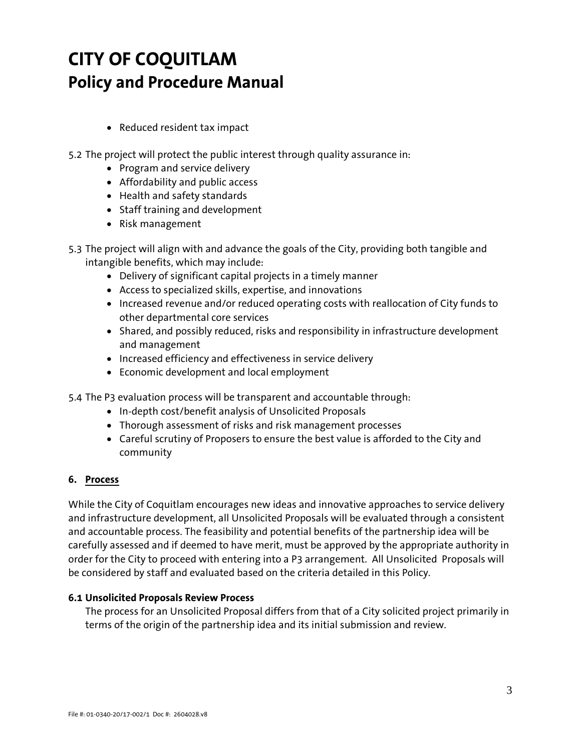- Reduced resident tax impact
- 5.2 The project will protect the public interest through quality assurance in:
	- Program and service delivery
	- Affordability and public access
	- Health and safety standards
	- Staff training and development
	- Risk management
- 5.3 The project will align with and advance the goals of the City, providing both tangible and intangible benefits, which may include:
	- Delivery of significant capital projects in a timely manner
	- Access to specialized skills, expertise, and innovations
	- Increased revenue and/or reduced operating costs with reallocation of City funds to other departmental core services
	- Shared, and possibly reduced, risks and responsibility in infrastructure development and management
	- Increased efficiency and effectiveness in service delivery
	- Economic development and local employment
- 5.4 The P3 evaluation process will be transparent and accountable through:
	- In-depth cost/benefit analysis of Unsolicited Proposals
	- Thorough assessment of risks and risk management processes
	- Careful scrutiny of Proposers to ensure the best value is afforded to the City and community

#### **6. Process**

While the City of Coquitlam encourages new ideas and innovative approaches to service delivery and infrastructure development, all Unsolicited Proposals will be evaluated through a consistent and accountable process. The feasibility and potential benefits of the partnership idea will be carefully assessed and if deemed to have merit, must be approved by the appropriate authority in order for the City to proceed with entering into a P3 arrangement. All Unsolicited Proposals will be considered by staff and evaluated based on the criteria detailed in this Policy.

#### **6.1 Unsolicited Proposals Review Process**

The process for an Unsolicited Proposal differs from that of a City solicited project primarily in terms of the origin of the partnership idea and its initial submission and review.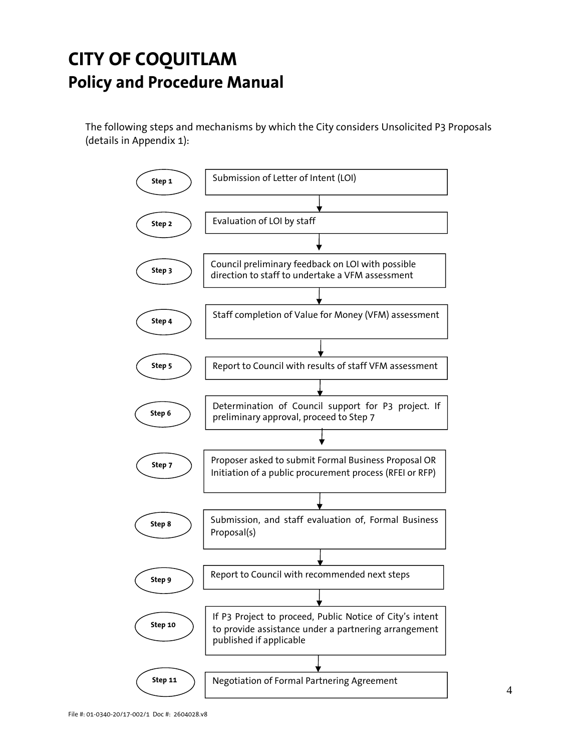The following steps and mechanisms by which the City considers Unsolicited P3 Proposals (details in Appendix 1):

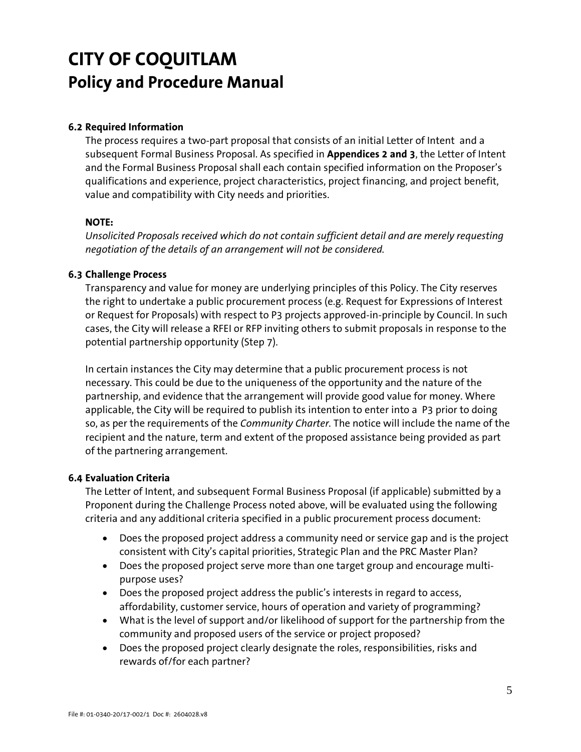#### **6.2 Required Information**

The process requires a two-part proposal that consists of an initial Letter of Intent and a subsequent Formal Business Proposal. As specified in **Appendices 2 and 3**, the Letter of Intent and the Formal Business Proposal shall each contain specified information on the Proposer's qualifications and experience, project characteristics, project financing, and project benefit, value and compatibility with City needs and priorities.

#### **NOTE:**

*Unsolicited Proposals received which do not contain sufficient detail and are merely requesting negotiation of the details of an arrangement will not be considered.* 

#### **6.3 Challenge Process**

Transparency and value for money are underlying principles of this Policy. The City reserves the right to undertake a public procurement process (e.g. Request for Expressions of Interest or Request for Proposals) with respect to P3 projects approved-in-principle by Council. In such cases, the City will release a RFEI or RFP inviting others to submit proposals in response to the potential partnership opportunity (Step 7).

In certain instances the City may determine that a public procurement process is not necessary. This could be due to the uniqueness of the opportunity and the nature of the partnership, and evidence that the arrangement will provide good value for money. Where applicable, the City will be required to publish its intention to enter into a P3 prior to doing so, as per the requirements of the *Community Charter.* The notice will include the name of the recipient and the nature, term and extent of the proposed assistance being provided as part of the partnering arrangement.

#### **6.4 Evaluation Criteria**

The Letter of Intent, and subsequent Formal Business Proposal (if applicable) submitted by a Proponent during the Challenge Process noted above, will be evaluated using the following criteria and any additional criteria specified in a public procurement process document:

- Does the proposed project address a community need or service gap and is the project consistent with City's capital priorities, Strategic Plan and the PRC Master Plan?
- Does the proposed project serve more than one target group and encourage multipurpose uses?
- Does the proposed project address the public's interests in regard to access, affordability, customer service, hours of operation and variety of programming?
- What is the level of support and/or likelihood of support for the partnership from the community and proposed users of the service or project proposed?
- Does the proposed project clearly designate the roles, responsibilities, risks and rewards of/for each partner?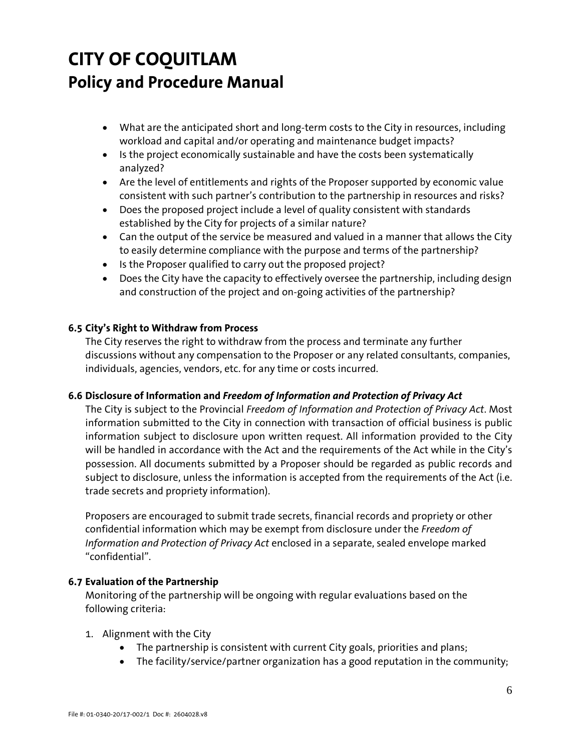- What are the anticipated short and long-term costs to the City in resources, including workload and capital and/or operating and maintenance budget impacts?
- Is the project economically sustainable and have the costs been systematically analyzed?
- Are the level of entitlements and rights of the Proposer supported by economic value consistent with such partner's contribution to the partnership in resources and risks?
- Does the proposed project include a level of quality consistent with standards established by the City for projects of a similar nature?
- Can the output of the service be measured and valued in a manner that allows the City to easily determine compliance with the purpose and terms of the partnership?
- Is the Proposer qualified to carry out the proposed project?
- Does the City have the capacity to effectively oversee the partnership, including design and construction of the project and on-going activities of the partnership?

### **6.5 City's Right to Withdraw from Process**

The City reserves the right to withdraw from the process and terminate any further discussions without any compensation to the Proposer or any related consultants, companies, individuals, agencies, vendors, etc. for any time or costs incurred.

### **6.6 Disclosure of Information and** *Freedom of Information and Protection of Privacy Act*

The City is subject to the Provincial *Freedom of Information and Protection of Privacy Act*. Most information submitted to the City in connection with transaction of official business is public information subject to disclosure upon written request. All information provided to the City will be handled in accordance with the Act and the requirements of the Act while in the City's possession. All documents submitted by a Proposer should be regarded as public records and subject to disclosure, unless the information is accepted from the requirements of the Act (i.e. trade secrets and propriety information).

Proposers are encouraged to submit trade secrets, financial records and propriety or other confidential information which may be exempt from disclosure under the *Freedom of Information and Protection of Privacy Act* enclosed in a separate, sealed envelope marked "confidential".

### **6.7 Evaluation of the Partnership**

Monitoring of the partnership will be ongoing with regular evaluations based on the following criteria:

- 1. Alignment with the City
	- The partnership is consistent with current City goals, priorities and plans;
	- The facility/service/partner organization has a good reputation in the community;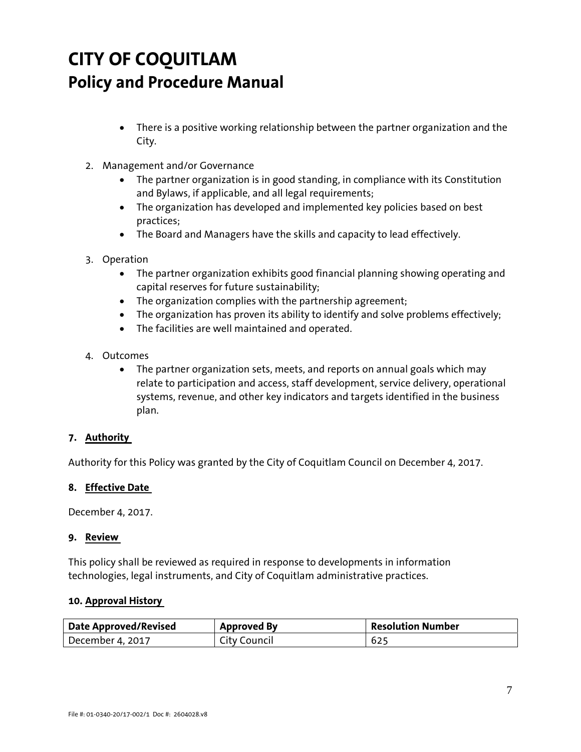- There is a positive working relationship between the partner organization and the City.
- 2. Management and/or Governance
	- The partner organization is in good standing, in compliance with its Constitution and Bylaws, if applicable, and all legal requirements;
	- The organization has developed and implemented key policies based on best practices;
	- The Board and Managers have the skills and capacity to lead effectively.
- 3. Operation
	- The partner organization exhibits good financial planning showing operating and capital reserves for future sustainability;
	- The organization complies with the partnership agreement;
	- The organization has proven its ability to identify and solve problems effectively;
	- The facilities are well maintained and operated.
- 4. Outcomes
	- The partner organization sets, meets, and reports on annual goals which may relate to participation and access, staff development, service delivery, operational systems, revenue, and other key indicators and targets identified in the business plan.

#### **7. Authority**

Authority for this Policy was granted by the City of Coquitlam Council on December 4, 2017.

#### **8. Effective Date**

December 4, 2017.

#### **9. Review**

This policy shall be reviewed as required in response to developments in information technologies, legal instruments, and City of Coquitlam administrative practices.

#### **10. Approval History**

| Date Approved/Revised | <b>Approved By</b> | Resolution Number |
|-----------------------|--------------------|-------------------|
| December 4, 2017      | City Council       | 625               |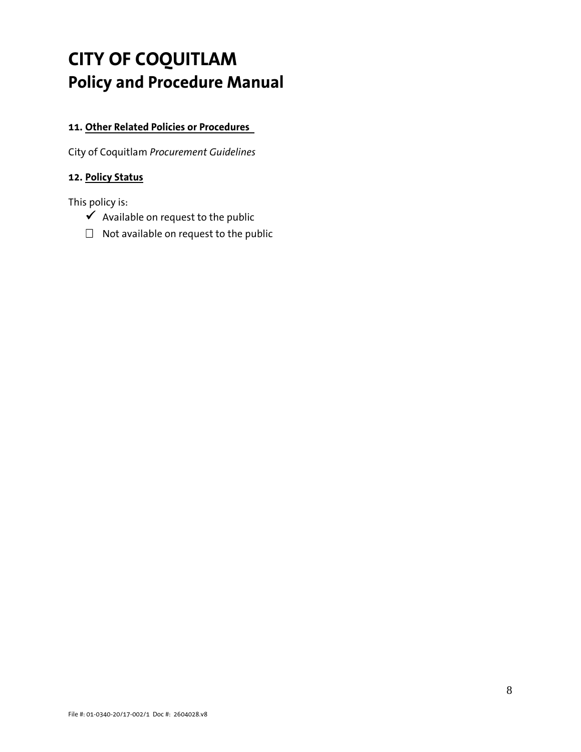### **11. Other Related Policies or Procedures**

City of Coquitlam *Procurement Guidelines*

### **12. Policy Status**

This policy is:

- $\checkmark$  Available on request to the public
- $\Box$  Not available on request to the public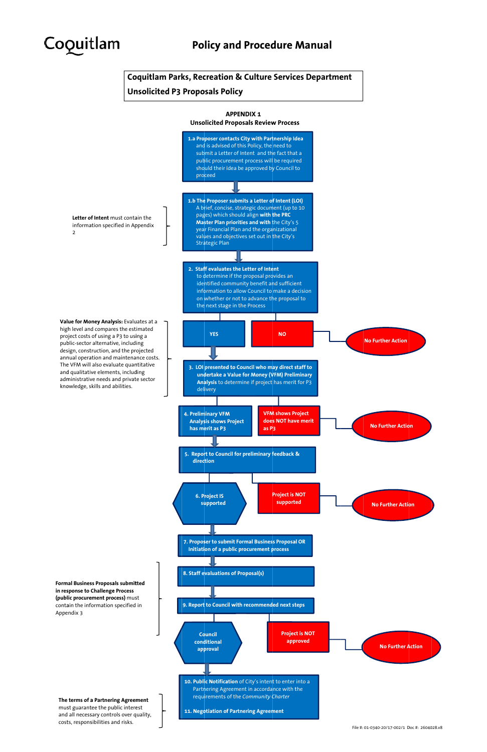

**Coquitlam Parks, Recreation & Culture Services Department** 

**Unsolicited P3 Proposals Policy** 



7. Proposer to submit Formal Business Proposal OR Initiation of a public procurement process

**Formal Business Proposals submitted** in response to Challenge Process (public procurement process) must contain the information specified in Appendix 3

#### The terms of a Partnering Agreement

must guarantee the public interest and all necessary controls over quality, costs, responsibilities and risks.



File #: 01-0340-20/17-002/1 Doc #: 2604028.v8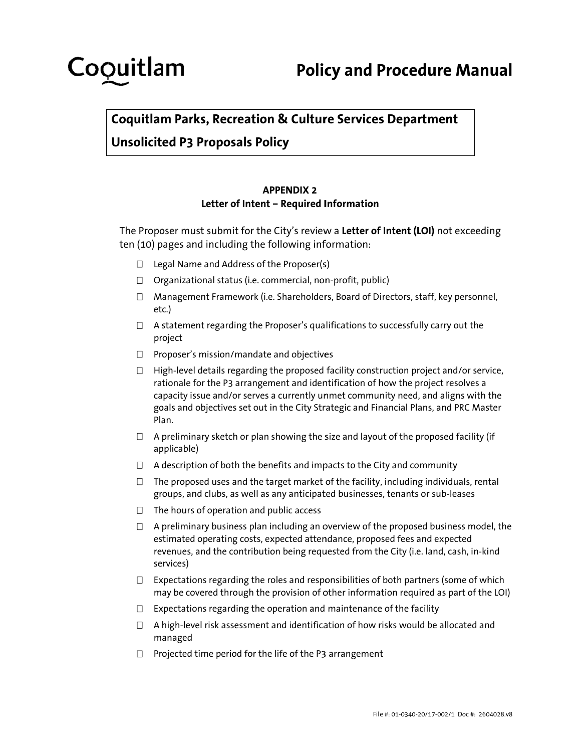# Coquitlam

**Coquitlam Parks, Recreation & Culture Services Department** 

**Unsolicited P3 Proposals Policy** 

### **APPENDIX 2** Letter of Intent - Required Information

The Proposer must submit for the City's review a Letter of Intent (LOI) not exceeding ten (10) pages and including the following information:

- $\Box$  Legal Name and Address of the Proposer(s)
- $\Box$  Organizational status (i.e. commercial, non-profit, public)
- $\Box$  Management Framework (i.e. Shareholders, Board of Directors, staff, key personnel, etc.)
- $\Box$  A statement regarding the Proposer's qualifications to successfully carry out the project
- $\Box$  Proposer's mission/mandate and objectives
- $\Box$  High-level details regarding the proposed facility construction project and/or service, rationale for the P3 arrangement and identification of how the project resolves a capacity issue and/or serves a currently unmet community need, and aligns with the goals and objectives set out in the City Strategic and Financial Plans, and PRC Master Plan.
- $\Box$  A preliminary sketch or plan showing the size and layout of the proposed facility (if applicable)
- $\Box$  A description of both the benefits and impacts to the City and community
- $\Box$  The proposed uses and the target market of the facility, including individuals, rental groups, and clubs, as well as any anticipated businesses, tenants or sub-leases
- $\Box$  The hours of operation and public access
- $\Box$  A preliminary business plan including an overview of the proposed business model, the estimated operating costs, expected attendance, proposed fees and expected revenues, and the contribution being requested from the City (i.e. land, cash, in-kind services)
- $\Box$  Expectations regarding the roles and responsibilities of both partners (some of which may be covered through the provision of other information required as part of the LOI)
- $\Box$  Expectations regarding the operation and maintenance of the facility
- $\Box$  A high-level risk assessment and identification of how risks would be allocated and managed
- $\Box$  Projected time period for the life of the P3 arrangement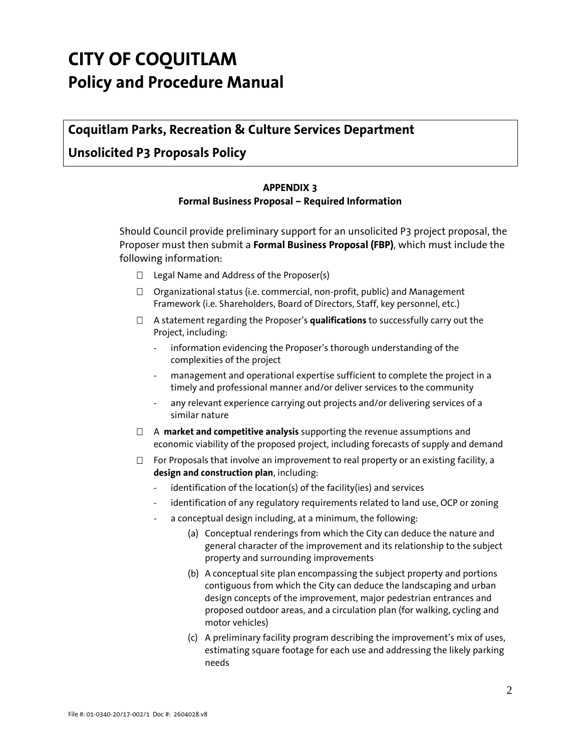### **Coquitlam Parks, Recreation & Culture Services Department**

### **Unsolicited P3 Proposals Policy**

#### **APPENDIX 3**

#### **Formal Business Proposal – Required Information**

Should Council provide preliminary support for an unsolicited P3 project proposal, the Proposer must then submit a **Formal Business Proposal (FBP)**, which must include the following information:

- $\Box$  Legal Name and Address of the Proposer(s)
- $\Box$  Organizational status (i.e. commercial, non-profit, public) and Management Framework (i.e. Shareholders, Board of Directors, Staff, key personnel, etc.)
- A statement regarding the Proposer's **qualifications** to successfully carry out the Project, including:
	- information evidencing the Proposer's thorough understanding of the complexities of the project
	- management and operational expertise sufficient to complete the project in a timely and professional manner and/or deliver services to the community
	- any relevant experience carrying out projects and/or delivering services of a similar nature
- A **market and competitive analysis** supporting the revenue assumptions and economic viability of the proposed project, including forecasts of supply and demand
- $\Box$  For Proposals that involve an improvement to real property or an existing facility, a **design and construction plan**, including:
	- identification of the location(s) of the facility(ies) and services
	- identification of any regulatory requirements related to land use, OCP or zoning
	- a conceptual design including, at a minimum, the following:
		- (a) Conceptual renderings from which the City can deduce the nature and general character of the improvement and its relationship to the subject property and surrounding improvements
		- (b) A conceptual site plan encompassing the subject property and portions contiguous from which the City can deduce the landscaping and urban design concepts of the improvement, major pedestrian entrances and proposed outdoor areas, and a circulation plan (for walking, cycling and motor vehicles)
		- (c) A preliminary facility program describing the improvement's mix of uses, estimating square footage for each use and addressing the likely parking needs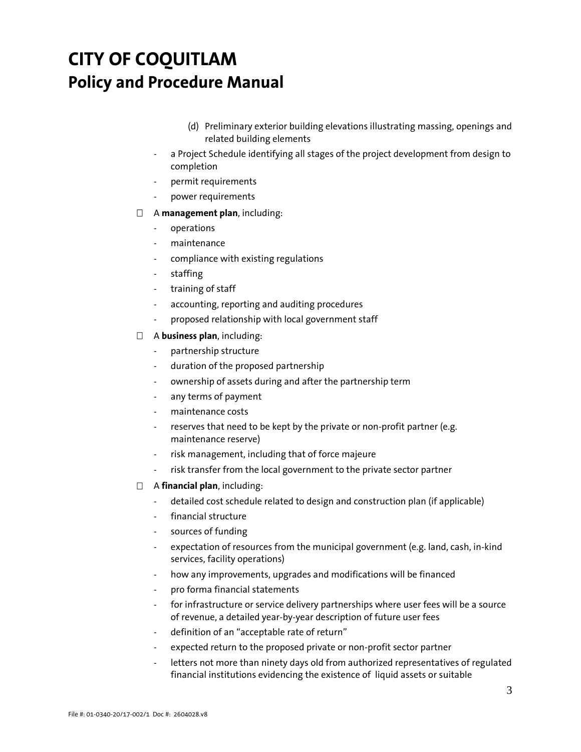- (d) Preliminary exterior building elevations illustrating massing, openings and related building elements
- a Project Schedule identifying all stages of the project development from design to completion
- permit requirements
- power requirements

#### A **management plan**, including:

- operations
- maintenance
- compliance with existing regulations
- staffing
- training of staff
- accounting, reporting and auditing procedures
- proposed relationship with local government staff

#### A **business plan**, including:

- partnership structure
- duration of the proposed partnership
- ownership of assets during and after the partnership term
- any terms of payment
- maintenance costs
- reserves that need to be kept by the private or non-profit partner (e.g. maintenance reserve)
- risk management, including that of force majeure
- risk transfer from the local government to the private sector partner
- A **financial plan**, including:
	- detailed cost schedule related to design and construction plan (if applicable)
	- financial structure
	- sources of funding
	- expectation of resources from the municipal government (e.g. land, cash, in-kind services, facility operations)
	- how any improvements, upgrades and modifications will be financed
	- pro forma financial statements
	- for infrastructure or service delivery partnerships where user fees will be a source of revenue, a detailed year-by-year description of future user fees
	- definition of an "acceptable rate of return"
	- expected return to the proposed private or non-profit sector partner
	- letters not more than ninety days old from authorized representatives of regulated financial institutions evidencing the existence of liquid assets or suitable